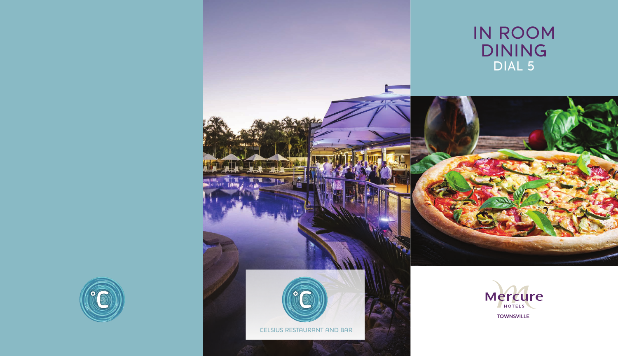